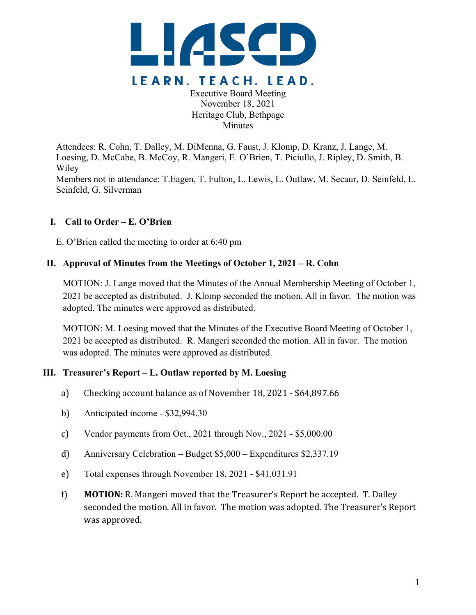

Executive Board Meeting November 18, 2021 Heritage Club, Bethpage **Minutes** 

Attendees: R. Cohn, T. Dalley, M. DiMenna, G. Faust, J. Klomp, D. Kranz, J. Lange, M. Loesing, D. McCabe, B. McCoy, R. Mangeri, E. O'Brien, T. Piciullo, J. Ripley, D. Smith, B. Wiley Members not in attendance: T.Eagen, T. Fulton, L. Lewis, L. Outlaw, M. Secaur, D. Seinfeld, L.

# **I. Call to Order – E. O'Brien**

Seinfeld, G. Silverman

E. O'Brien called the meeting to order at 6:40 pm

# **II. Approval of Minutes from the Meetings of October 1, 2021 – R. Cohn**

MOTION: J. Lange moved that the Minutes of the Annual Membership Meeting of October 1, 2021 be accepted as distributed. J. Klomp seconded the motion. All in favor. The motion was adopted. The minutes were approved as distributed.

MOTION: M. Loesing moved that the Minutes of the Executive Board Meeting of October 1, 2021 be accepted as distributed. R. Mangeri seconded the motion. All in favor. The motion was adopted. The minutes were approved as distributed.

# **III. Treasurer's Report – L. Outlaw reported by M. Loesing**

- a) Checking account balance as of November 18, 2021 \$64,897.66
- b) Anticipated income \$32,994.30
- c) Vendor payments from Oct., 2021 through Nov., 2021 \$5,000.00
- d) Anniversary Celebration Budget \$5,000 Expenditures \$2,337.19
- e) Total expenses through November 18, 2021 \$41,031.91
- f) **MOTION:** R. Mangeri moved that the Treasurer's Report be accepted. T. Dalley seconded the motion. All in favor. The motion was adopted. The Treasurer's Report was approved.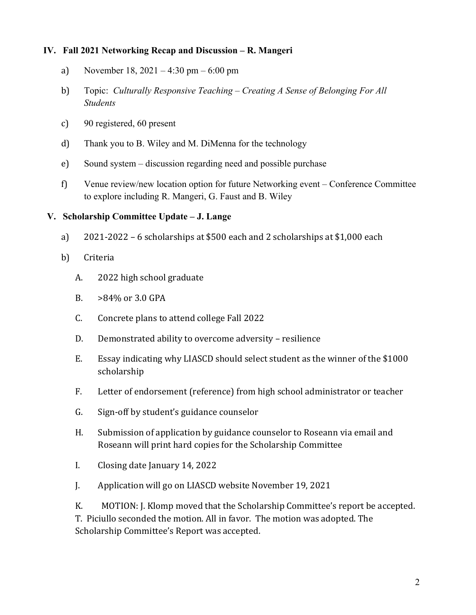### **IV. Fall 2021 Networking Recap and Discussion – R. Mangeri**

- a) November 18, 2021 4:30 pm 6:00 pm
- b) Topic: *Culturally Responsive Teaching – Creating A Sense of Belonging For All Students*
- c) 90 registered, 60 present
- d) Thank you to B. Wiley and M. DiMenna for the technology
- e) Sound system discussion regarding need and possible purchase
- f) Venue review/new location option for future Networking event Conference Committee to explore including R. Mangeri, G. Faust and B. Wiley

#### **V. Scholarship Committee Update – J. Lange**

- a)  $2021-2022-6$  scholarships at \$500 each and 2 scholarships at \$1,000 each
- b) Criteria
	- A. 2022 high school graduate
	- B.  $>84\%$  or 3.0 GPA
	- C. Concrete plans to attend college Fall 2022
	- D. Demonstrated ability to overcome adversity resilience
	- E. Essay indicating why LIASCD should select student as the winner of the \$1000 scholarship
	- F. Letter of endorsement (reference) from high school administrator or teacher
	- G. Sign-off by student's guidance counselor
	- H. Submission of application by guidance counselor to Roseann via email and Roseann will print hard copies for the Scholarship Committee
	- I. Closing date January 14, 2022
	- J. Application will go on LIASCD website November 19, 2021

K. MOTION: J. Klomp moved that the Scholarship Committee's report be accepted. T. Piciullo seconded the motion. All in favor. The motion was adopted. The Scholarship Committee's Report was accepted.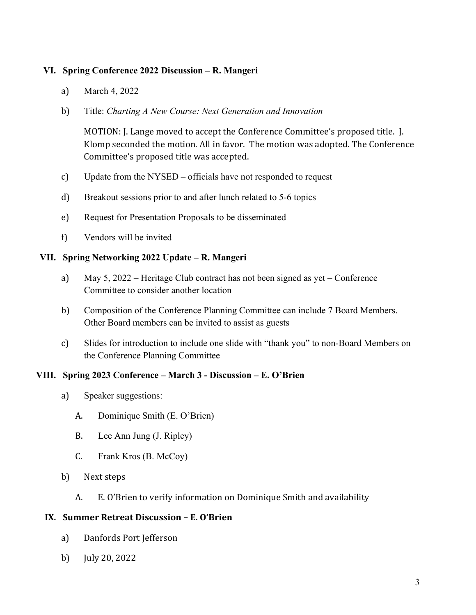### **VI. Spring Conference 2022 Discussion – R. Mangeri**

- a) March 4, 2022
- b) Title: *Charting A New Course: Next Generation and Innovation*

MOTION: J. Lange moved to accept the Conference Committee's proposed title. J. Klomp seconded the motion. All in favor. The motion was adopted. The Conference Committee's proposed title was accepted.

- c) Update from the NYSED officials have not responded to request
- d) Breakout sessions prior to and after lunch related to 5-6 topics
- e) Request for Presentation Proposals to be disseminated
- f) Vendors will be invited

#### **VII. Spring Networking 2022 Update – R. Mangeri**

- a) May 5, 2022 Heritage Club contract has not been signed as yet Conference Committee to consider another location
- b) Composition of the Conference Planning Committee can include 7 Board Members. Other Board members can be invited to assist as guests
- c) Slides for introduction to include one slide with "thank you" to non-Board Members on the Conference Planning Committee

# **VIII. Spring 2023 Conference – March 3 - Discussion – E. O'Brien**

- a) Speaker suggestions:
	- A. Dominique Smith (E. O'Brien)
	- B. Lee Ann Jung (J. Ripley)
	- C. Frank Kros (B. McCoy)
- b) Next steps
	- A. E. O'Brien to verify information on Dominique Smith and availability

#### **IX. Summer Retreat Discussion – E. O'Brien**

- a) Danfords Port Jefferson
- b) July 20, 2022